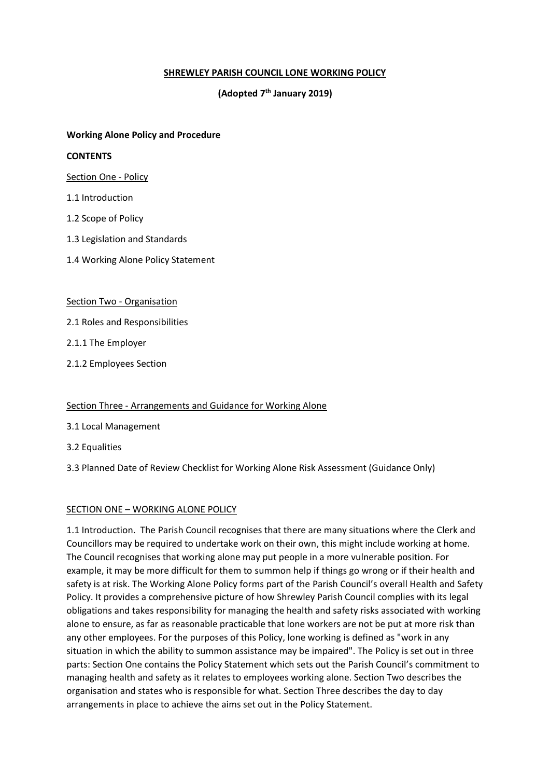# **SHREWLEY PARISH COUNCIL LONE WORKING POLICY**

# **(Adopted 7th January 2019)**

## **Working Alone Policy and Procedure**

### **CONTENTS**

Section One - Policy

- 1.1 Introduction
- 1.2 Scope of Policy
- 1.3 Legislation and Standards
- 1.4 Working Alone Policy Statement

#### Section Two - Organisation

- 2.1 Roles and Responsibilities
- 2.1.1 The Employer
- 2.1.2 Employees Section

## Section Three - Arrangements and Guidance for Working Alone

- 3.1 Local Management
- 3.2 Equalities

3.3 Planned Date of Review Checklist for Working Alone Risk Assessment (Guidance Only)

#### SECTION ONE – WORKING ALONE POLICY

1.1 Introduction. The Parish Council recognises that there are many situations where the Clerk and Councillors may be required to undertake work on their own, this might include working at home. The Council recognises that working alone may put people in a more vulnerable position. For example, it may be more difficult for them to summon help if things go wrong or if their health and safety is at risk. The Working Alone Policy forms part of the Parish Council's overall Health and Safety Policy. It provides a comprehensive picture of how Shrewley Parish Council complies with its legal obligations and takes responsibility for managing the health and safety risks associated with working alone to ensure, as far as reasonable practicable that lone workers are not be put at more risk than any other employees. For the purposes of this Policy, lone working is defined as "work in any situation in which the ability to summon assistance may be impaired". The Policy is set out in three parts: Section One contains the Policy Statement which sets out the Parish Council's commitment to managing health and safety as it relates to employees working alone. Section Two describes the organisation and states who is responsible for what. Section Three describes the day to day arrangements in place to achieve the aims set out in the Policy Statement.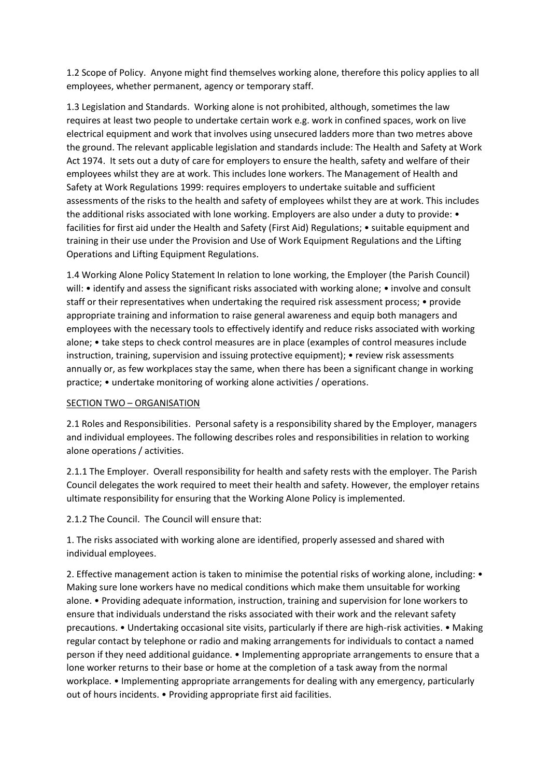1.2 Scope of Policy. Anyone might find themselves working alone, therefore this policy applies to all employees, whether permanent, agency or temporary staff.

1.3 Legislation and Standards. Working alone is not prohibited, although, sometimes the law requires at least two people to undertake certain work e.g. work in confined spaces, work on live electrical equipment and work that involves using unsecured ladders more than two metres above the ground. The relevant applicable legislation and standards include: The Health and Safety at Work Act 1974. It sets out a duty of care for employers to ensure the health, safety and welfare of their employees whilst they are at work. This includes lone workers. The Management of Health and Safety at Work Regulations 1999: requires employers to undertake suitable and sufficient assessments of the risks to the health and safety of employees whilst they are at work. This includes the additional risks associated with lone working. Employers are also under a duty to provide: • facilities for first aid under the Health and Safety (First Aid) Regulations; • suitable equipment and training in their use under the Provision and Use of Work Equipment Regulations and the Lifting Operations and Lifting Equipment Regulations.

1.4 Working Alone Policy Statement In relation to lone working, the Employer (the Parish Council) will: • identify and assess the significant risks associated with working alone; • involve and consult staff or their representatives when undertaking the required risk assessment process; • provide appropriate training and information to raise general awareness and equip both managers and employees with the necessary tools to effectively identify and reduce risks associated with working alone; • take steps to check control measures are in place (examples of control measures include instruction, training, supervision and issuing protective equipment); • review risk assessments annually or, as few workplaces stay the same, when there has been a significant change in working practice; • undertake monitoring of working alone activities / operations.

## SECTION TWO – ORGANISATION

2.1 Roles and Responsibilities. Personal safety is a responsibility shared by the Employer, managers and individual employees. The following describes roles and responsibilities in relation to working alone operations / activities.

2.1.1 The Employer. Overall responsibility for health and safety rests with the employer. The Parish Council delegates the work required to meet their health and safety. However, the employer retains ultimate responsibility for ensuring that the Working Alone Policy is implemented.

2.1.2 The Council. The Council will ensure that:

1. The risks associated with working alone are identified, properly assessed and shared with individual employees.

2. Effective management action is taken to minimise the potential risks of working alone, including: • Making sure lone workers have no medical conditions which make them unsuitable for working alone. • Providing adequate information, instruction, training and supervision for lone workers to ensure that individuals understand the risks associated with their work and the relevant safety precautions. • Undertaking occasional site visits, particularly if there are high-risk activities. • Making regular contact by telephone or radio and making arrangements for individuals to contact a named person if they need additional guidance. • Implementing appropriate arrangements to ensure that a lone worker returns to their base or home at the completion of a task away from the normal workplace. • Implementing appropriate arrangements for dealing with any emergency, particularly out of hours incidents. • Providing appropriate first aid facilities.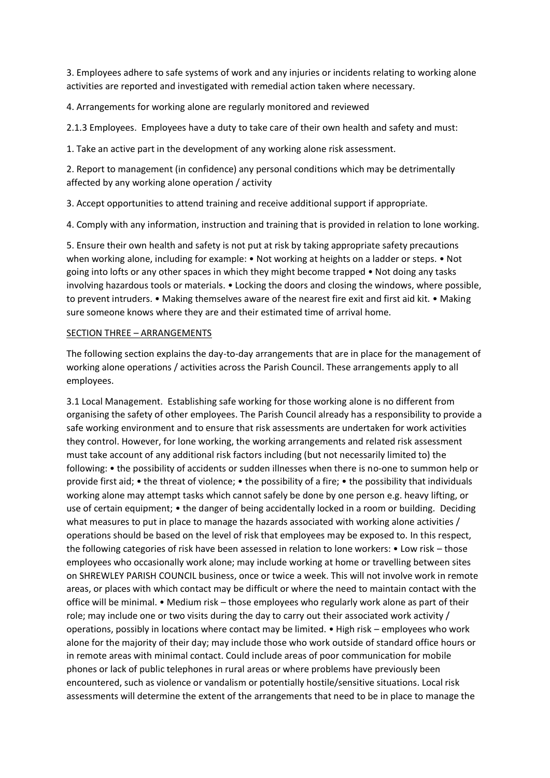3. Employees adhere to safe systems of work and any injuries or incidents relating to working alone activities are reported and investigated with remedial action taken where necessary.

4. Arrangements for working alone are regularly monitored and reviewed

2.1.3 Employees. Employees have a duty to take care of their own health and safety and must:

1. Take an active part in the development of any working alone risk assessment.

2. Report to management (in confidence) any personal conditions which may be detrimentally affected by any working alone operation / activity

3. Accept opportunities to attend training and receive additional support if appropriate.

4. Comply with any information, instruction and training that is provided in relation to lone working.

5. Ensure their own health and safety is not put at risk by taking appropriate safety precautions when working alone, including for example: • Not working at heights on a ladder or steps. • Not going into lofts or any other spaces in which they might become trapped • Not doing any tasks involving hazardous tools or materials. • Locking the doors and closing the windows, where possible, to prevent intruders. • Making themselves aware of the nearest fire exit and first aid kit. • Making sure someone knows where they are and their estimated time of arrival home.

## SECTION THREE – ARRANGEMENTS

The following section explains the day-to-day arrangements that are in place for the management of working alone operations / activities across the Parish Council. These arrangements apply to all employees.

3.1 Local Management. Establishing safe working for those working alone is no different from organising the safety of other employees. The Parish Council already has a responsibility to provide a safe working environment and to ensure that risk assessments are undertaken for work activities they control. However, for lone working, the working arrangements and related risk assessment must take account of any additional risk factors including (but not necessarily limited to) the following: • the possibility of accidents or sudden illnesses when there is no-one to summon help or provide first aid; • the threat of violence; • the possibility of a fire; • the possibility that individuals working alone may attempt tasks which cannot safely be done by one person e.g. heavy lifting, or use of certain equipment; • the danger of being accidentally locked in a room or building. Deciding what measures to put in place to manage the hazards associated with working alone activities / operations should be based on the level of risk that employees may be exposed to. In this respect, the following categories of risk have been assessed in relation to lone workers: • Low risk – those employees who occasionally work alone; may include working at home or travelling between sites on SHREWLEY PARISH COUNCIL business, once or twice a week. This will not involve work in remote areas, or places with which contact may be difficult or where the need to maintain contact with the office will be minimal. • Medium risk – those employees who regularly work alone as part of their role; may include one or two visits during the day to carry out their associated work activity / operations, possibly in locations where contact may be limited. • High risk – employees who work alone for the majority of their day; may include those who work outside of standard office hours or in remote areas with minimal contact. Could include areas of poor communication for mobile phones or lack of public telephones in rural areas or where problems have previously been encountered, such as violence or vandalism or potentially hostile/sensitive situations. Local risk assessments will determine the extent of the arrangements that need to be in place to manage the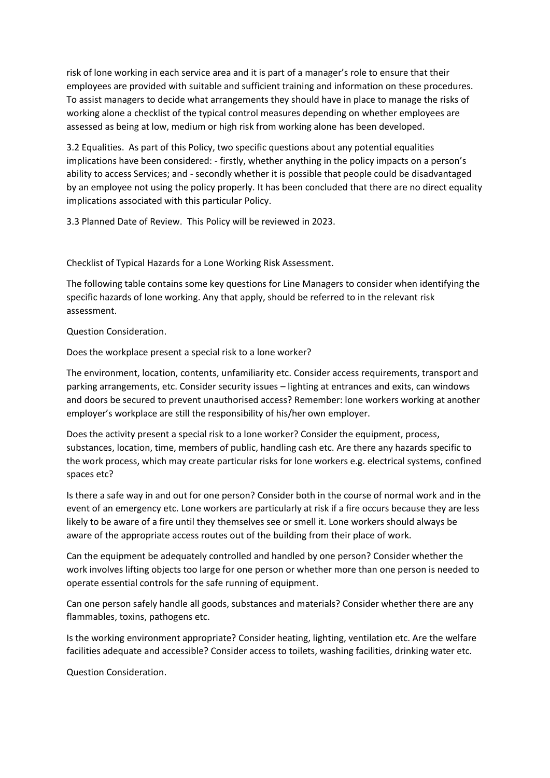risk of lone working in each service area and it is part of a manager's role to ensure that their employees are provided with suitable and sufficient training and information on these procedures. To assist managers to decide what arrangements they should have in place to manage the risks of working alone a checklist of the typical control measures depending on whether employees are assessed as being at low, medium or high risk from working alone has been developed.

3.2 Equalities. As part of this Policy, two specific questions about any potential equalities implications have been considered: - firstly, whether anything in the policy impacts on a person's ability to access Services; and - secondly whether it is possible that people could be disadvantaged by an employee not using the policy properly. It has been concluded that there are no direct equality implications associated with this particular Policy.

3.3 Planned Date of Review. This Policy will be reviewed in 2023.

Checklist of Typical Hazards for a Lone Working Risk Assessment.

The following table contains some key questions for Line Managers to consider when identifying the specific hazards of lone working. Any that apply, should be referred to in the relevant risk assessment.

Question Consideration.

Does the workplace present a special risk to a lone worker?

The environment, location, contents, unfamiliarity etc. Consider access requirements, transport and parking arrangements, etc. Consider security issues – lighting at entrances and exits, can windows and doors be secured to prevent unauthorised access? Remember: lone workers working at another employer's workplace are still the responsibility of his/her own employer.

Does the activity present a special risk to a lone worker? Consider the equipment, process, substances, location, time, members of public, handling cash etc. Are there any hazards specific to the work process, which may create particular risks for lone workers e.g. electrical systems, confined spaces etc?

Is there a safe way in and out for one person? Consider both in the course of normal work and in the event of an emergency etc. Lone workers are particularly at risk if a fire occurs because they are less likely to be aware of a fire until they themselves see or smell it. Lone workers should always be aware of the appropriate access routes out of the building from their place of work.

Can the equipment be adequately controlled and handled by one person? Consider whether the work involves lifting objects too large for one person or whether more than one person is needed to operate essential controls for the safe running of equipment.

Can one person safely handle all goods, substances and materials? Consider whether there are any flammables, toxins, pathogens etc.

Is the working environment appropriate? Consider heating, lighting, ventilation etc. Are the welfare facilities adequate and accessible? Consider access to toilets, washing facilities, drinking water etc.

Question Consideration.